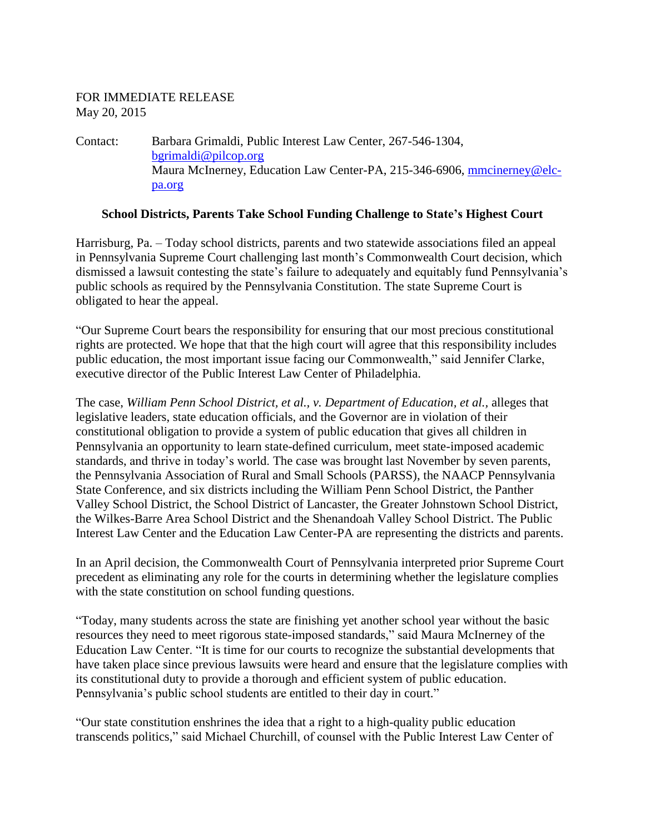## FOR IMMEDIATE RELEASE May 20, 2015

Contact: Barbara Grimaldi, Public Interest Law Center, 267-546-1304, [bgrimaldi@pilcop.org](mailto:bgrimaldi@pilcop.org) Maura McInerney, Education Law Center-PA, 215-346-6906, [mmcinerney@elc](mailto:mmcinerney@elc-pa.org)[pa.org](mailto:mmcinerney@elc-pa.org)

## **School Districts, Parents Take School Funding Challenge to State's Highest Court**

Harrisburg, Pa. – Today school districts, parents and two statewide associations filed an appeal in Pennsylvania Supreme Court challenging last month's Commonwealth Court decision, which dismissed a lawsuit contesting the state's failure to adequately and equitably fund Pennsylvania's public schools as required by the Pennsylvania Constitution. The state Supreme Court is obligated to hear the appeal.

"Our Supreme Court bears the responsibility for ensuring that our most precious constitutional rights are protected. We hope that that the high court will agree that this responsibility includes public education, the most important issue facing our Commonwealth," said Jennifer Clarke, executive director of the Public Interest Law Center of Philadelphia.

The case, *William Penn School District, et al., v. Department of Education, et al.,* alleges that legislative leaders, state education officials, and the Governor are in violation of their constitutional obligation to provide a system of public education that gives all children in Pennsylvania an opportunity to learn state-defined curriculum, meet state-imposed academic standards, and thrive in today's world. The case was brought last November by seven parents, the Pennsylvania Association of Rural and Small Schools (PARSS), the NAACP Pennsylvania State Conference, and six districts including the William Penn School District, the Panther Valley School District, the School District of Lancaster, the Greater Johnstown School District, the Wilkes-Barre Area School District and the Shenandoah Valley School District. The Public Interest Law Center and the Education Law Center-PA are representing the districts and parents.

In an April decision, the Commonwealth Court of Pennsylvania interpreted prior Supreme Court precedent as eliminating any role for the courts in determining whether the legislature complies with the state constitution on school funding questions.

"Today, many students across the state are finishing yet another school year without the basic resources they need to meet rigorous state-imposed standards," said Maura McInerney of the Education Law Center. "It is time for our courts to recognize the substantial developments that have taken place since previous lawsuits were heard and ensure that the legislature complies with its constitutional duty to provide a thorough and efficient system of public education. Pennsylvania's public school students are entitled to their day in court."

"Our state constitution enshrines the idea that a right to a high-quality public education transcends politics," said Michael Churchill, of counsel with the Public Interest Law Center of